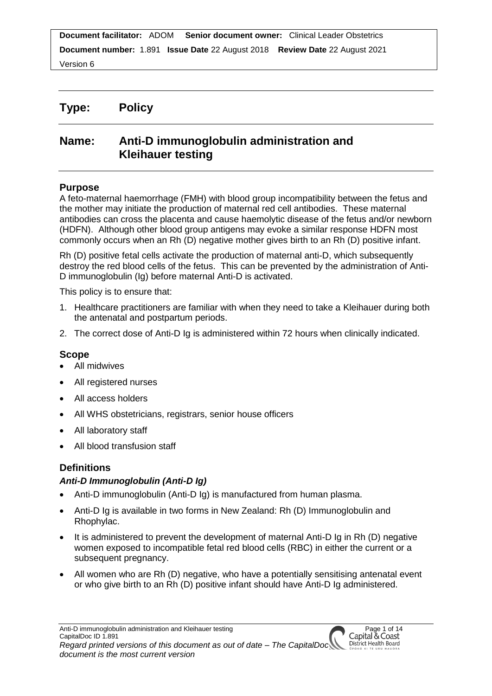Version 6

# **Type: Policy**

# **Name: Anti-D immunoglobulin administration and Kleihauer testing**

# **Purpose**

A feto-maternal haemorrhage (FMH) with blood group incompatibility between the fetus and the mother may initiate the production of maternal red cell antibodies. These maternal antibodies can cross the placenta and cause haemolytic disease of the fetus and/or newborn (HDFN). Although other blood group antigens may evoke a similar response HDFN most commonly occurs when an Rh (D) negative mother gives birth to an Rh (D) positive infant.

Rh (D) positive fetal cells activate the production of maternal anti-D, which subsequently destroy the red blood cells of the fetus. This can be prevented by the administration of Anti-D immunoglobulin (Ig) before maternal Anti-D is activated.

This policy is to ensure that:

- 1. Healthcare practitioners are familiar with when they need to take a Kleihauer during both the antenatal and postpartum periods.
- 2. The correct dose of Anti-D Ig is administered within 72 hours when clinically indicated.

# **Scope**

- All midwives
- All registered nurses
- All access holders
- All WHS obstetricians, registrars, senior house officers
- All laboratory staff
- All blood transfusion staff

# **Definitions**

# *Anti-D Immunoglobulin (Anti-D Ig)*

- Anti-D immunoglobulin (Anti-D Ig) is manufactured from human plasma.
- Anti-D Ig is available in two forms in New Zealand: Rh (D) Immunoglobulin and Rhophylac.
- It is administered to prevent the development of maternal Anti-D Ig in Rh (D) negative women exposed to incompatible fetal red blood cells (RBC) in either the current or a subsequent pregnancy.
- All women who are Rh (D) negative, who have a potentially sensitising antenatal event or who give birth to an Rh (D) positive infant should have Anti-D Ig administered.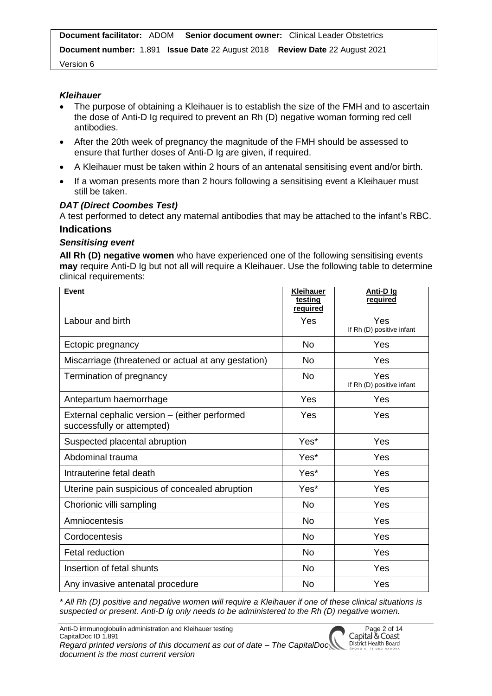Version 6

#### *Kleihauer*

- The purpose of obtaining a Kleihauer is to establish the size of the FMH and to ascertain the dose of Anti-D Ig required to prevent an Rh (D) negative woman forming red cell antibodies.
- After the 20th week of pregnancy the magnitude of the FMH should be assessed to ensure that further doses of Anti-D Ig are given, if required.
- A Kleihauer must be taken within 2 hours of an antenatal sensitising event and/or birth.
- If a woman presents more than 2 hours following a sensitising event a Kleihauer must still be taken.

#### *DAT (Direct Coombes Test)*

A test performed to detect any maternal antibodies that may be attached to the infant's RBC.

# **Indications**

#### *Sensitising event*

**All Rh (D) negative women** who have experienced one of the following sensitising events **may** require Anti-D Ig but not all will require a Kleihauer. Use the following table to determine clinical requirements:

| Event                                                                       | <b>Kleihauer</b><br>testing<br><u>required</u> | Anti-D Ig<br>required            |
|-----------------------------------------------------------------------------|------------------------------------------------|----------------------------------|
| Labour and birth                                                            | Yes                                            | Yes<br>If Rh (D) positive infant |
| Ectopic pregnancy                                                           | <b>No</b>                                      | Yes                              |
| Miscarriage (threatened or actual at any gestation)                         | No.                                            | Yes                              |
| Termination of pregnancy                                                    | No                                             | Yes<br>If Rh (D) positive infant |
| Antepartum haemorrhage                                                      | Yes                                            | Yes                              |
| External cephalic version - (either performed<br>successfully or attempted) | Yes                                            | Yes                              |
| Suspected placental abruption                                               | Yes*                                           | Yes                              |
| Abdominal trauma                                                            | Yes*                                           | Yes                              |
| Intrauterine fetal death                                                    | Yes*                                           | Yes                              |
| Uterine pain suspicious of concealed abruption                              | Yes*                                           | Yes                              |
| Chorionic villi sampling                                                    | <b>No</b>                                      | Yes                              |
| Amniocentesis                                                               | <b>No</b>                                      | Yes                              |
| Cordocentesis                                                               | No                                             | Yes                              |
| <b>Fetal reduction</b>                                                      | <b>No</b>                                      | Yes                              |
| Insertion of fetal shunts                                                   | <b>No</b>                                      | Yes                              |
| Any invasive antenatal procedure                                            | No                                             | Yes                              |

*\* All Rh (D) positive and negative women will require a Kleihauer if one of these clinical situations is suspected or present. Anti-D Ig only needs to be administered to the Rh (D) negative women.*

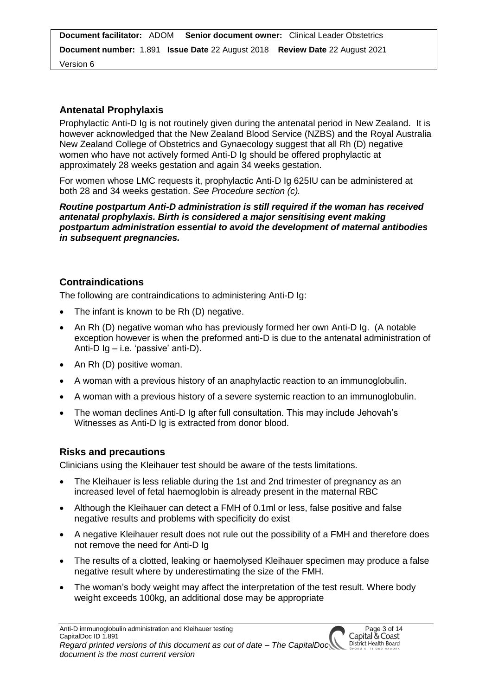Version 6

# **Antenatal Prophylaxis**

Prophylactic Anti-D Ig is not routinely given during the antenatal period in New Zealand. It is however acknowledged that the New Zealand Blood Service (NZBS) and the Royal Australia New Zealand College of Obstetrics and Gynaecology suggest that all Rh (D) negative women who have not actively formed Anti-D Ig should be offered prophylactic at approximately 28 weeks gestation and again 34 weeks gestation.

For women whose LMC requests it, prophylactic Anti-D Ig 625IU can be administered at both 28 and 34 weeks gestation. *See Procedure section (c).*

*Routine postpartum Anti-D administration is still required if the woman has received antenatal prophylaxis. Birth is considered a major sensitising event making postpartum administration essential to avoid the development of maternal antibodies in subsequent pregnancies.*

# **Contraindications**

The following are contraindications to administering Anti-D Ig:

- The infant is known to be Rh (D) negative.
- An Rh (D) negative woman who has previously formed her own Anti-D Ig. (A notable exception however is when the preformed anti-D is due to the antenatal administration of Anti-D Ig – i.e. 'passive' anti-D).
- An Rh (D) positive woman.
- A woman with a previous history of an anaphylactic reaction to an immunoglobulin.
- A woman with a previous history of a severe systemic reaction to an immunoglobulin.
- The woman declines Anti-D Ig after full consultation. This may include Jehovah's Witnesses as Anti-D Ig is extracted from donor blood.

### **Risks and precautions**

Clinicians using the Kleihauer test should be aware of the tests limitations.

- The Kleihauer is less reliable during the 1st and 2nd trimester of pregnancy as an increased level of fetal haemoglobin is already present in the maternal RBC
- Although the Kleihauer can detect a FMH of 0.1ml or less, false positive and false negative results and problems with specificity do exist
- A negative Kleihauer result does not rule out the possibility of a FMH and therefore does not remove the need for Anti-D Ig
- The results of a clotted, leaking or haemolysed Kleihauer specimen may produce a false negative result where by underestimating the size of the FMH.
- The woman's body weight may affect the interpretation of the test result. Where body weight exceeds 100kg, an additional dose may be appropriate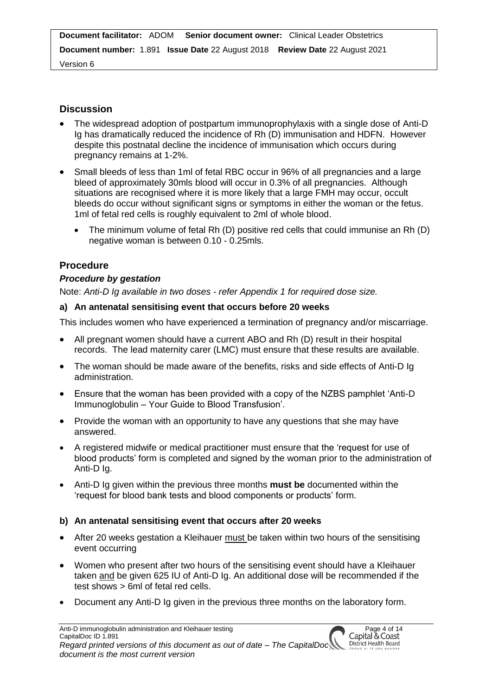Version 6

# **Discussion**

- The widespread adoption of postpartum immunoprophylaxis with a single dose of Anti-D Ig has dramatically reduced the incidence of Rh (D) immunisation and HDFN. However despite this postnatal decline the incidence of immunisation which occurs during pregnancy remains at 1-2%.
- Small bleeds of less than 1ml of fetal RBC occur in 96% of all pregnancies and a large bleed of approximately 30mls blood will occur in 0.3% of all pregnancies. Although situations are recognised where it is more likely that a large FMH may occur, occult bleeds do occur without significant signs or symptoms in either the woman or the fetus. 1ml of fetal red cells is roughly equivalent to 2ml of whole blood.
	- The minimum volume of fetal Rh (D) positive red cells that could immunise an Rh (D) negative woman is between 0.10 - 0.25mls.

# **Procedure**

### *Procedure by gestation*

Note: *Anti-D Ig available in two doses - refer Appendix 1 for required dose size.*

### **a) An antenatal sensitising event that occurs before 20 weeks**

This includes women who have experienced a termination of pregnancy and/or miscarriage.

- All pregnant women should have a current ABO and Rh (D) result in their hospital records. The lead maternity carer (LMC) must ensure that these results are available.
- The woman should be made aware of the benefits, risks and side effects of Anti-D Ig administration.
- Ensure that the woman has been provided with a copy of the NZBS pamphlet 'Anti-D Immunoglobulin – Your Guide to Blood Transfusion'.
- Provide the woman with an opportunity to have any questions that she may have answered.
- A registered midwife or medical practitioner must ensure that the 'request for use of blood products' form is completed and signed by the woman prior to the administration of Anti-D Ig.
- Anti-D Ig given within the previous three months **must be** documented within the 'request for blood bank tests and blood components or products' form.

### **b) An antenatal sensitising event that occurs after 20 weeks**

- After 20 weeks gestation a Kleihauer must be taken within two hours of the sensitising event occurring
- Women who present after two hours of the sensitising event should have a Kleihauer taken and be given 625 IU of Anti-D Ig. An additional dose will be recommended if the test shows > 6ml of fetal red cells.
- Document any Anti-D Ig given in the previous three months on the laboratory form.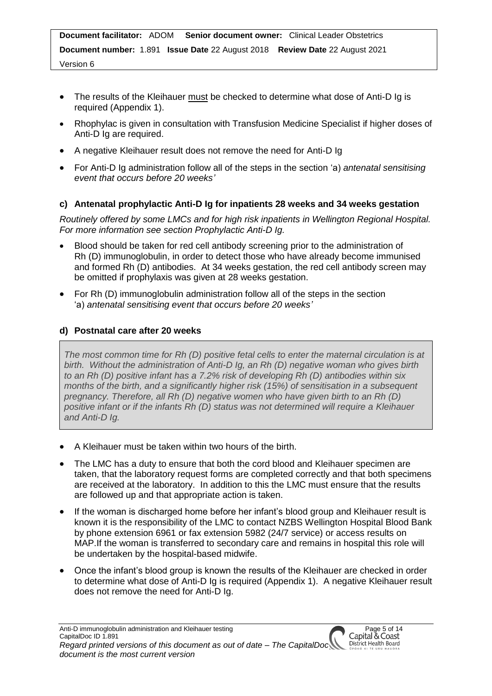- The results of the Kleihauer must be checked to determine what dose of Anti-D Ig is required (Appendix 1).
- Rhophylac is given in consultation with Transfusion Medicine Specialist if higher doses of Anti-D Ig are required.
- A negative Kleihauer result does not remove the need for Anti-D Ig
- For Anti-D Ig administration follow all of the steps in the section 'a) *antenatal sensitising event that occurs before 20 weeks'*

# **c) Antenatal prophylactic Anti-D Ig for inpatients 28 weeks and 34 weeks gestation**

*Routinely offered by some LMCs and for high risk inpatients in Wellington Regional Hospital. For more information see section Prophylactic Anti-D Ig.*

- Blood should be taken for red cell antibody screening prior to the administration of Rh (D) immunoglobulin, in order to detect those who have already become immunised and formed Rh (D) antibodies. At 34 weeks gestation, the red cell antibody screen may be omitted if prophylaxis was given at 28 weeks gestation.
- For Rh (D) immunoglobulin administration follow all of the steps in the section 'a) *antenatal sensitising event that occurs before 20 weeks'*

# **d) Postnatal care after 20 weeks**

*The most common time for Rh (D) positive fetal cells to enter the maternal circulation is at birth. Without the administration of Anti-D Ig, an Rh (D) negative woman who gives birth to an Rh (D) positive infant has a 7.2% risk of developing Rh (D) antibodies within six months of the birth, and a significantly higher risk (15%) of sensitisation in a subsequent pregnancy. Therefore, all Rh (D) negative women who have given birth to an Rh (D) positive infant or if the infants Rh (D) status was not determined will require a Kleihauer and Anti-D Ig.*

- A Kleihauer must be taken within two hours of the birth.
- The LMC has a duty to ensure that both the cord blood and Kleihauer specimen are taken, that the laboratory request forms are completed correctly and that both specimens are received at the laboratory. In addition to this the LMC must ensure that the results are followed up and that appropriate action is taken.
- If the woman is discharged home before her infant's blood group and Kleihauer result is known it is the responsibility of the LMC to contact NZBS Wellington Hospital Blood Bank by phone extension 6961 or fax extension 5982 (24/7 service) or access results on MAP.If the woman is transferred to secondary care and remains in hospital this role will be undertaken by the hospital-based midwife.
- Once the infant's blood group is known the results of the Kleihauer are checked in order to determine what dose of Anti-D Ig is required (Appendix 1). A negative Kleihauer result does not remove the need for Anti-D Ig.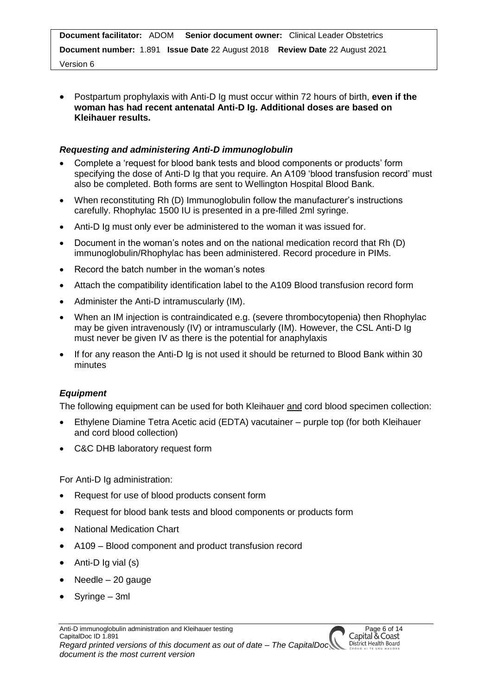Version 6

 Postpartum prophylaxis with Anti-D Ig must occur within 72 hours of birth, **even if the woman has had recent antenatal Anti-D Ig. Additional doses are based on Kleihauer results.** 

### *Requesting and administering Anti-D immunoglobulin*

- Complete a 'request for blood bank tests and blood components or products' form specifying the dose of Anti-D Ig that you require. An A109 'blood transfusion record' must also be completed. Both forms are sent to Wellington Hospital Blood Bank.
- When reconstituting Rh (D) Immunoglobulin follow the manufacturer's instructions carefully. Rhophylac 1500 IU is presented in a pre-filled 2ml syringe.
- Anti-D Ig must only ever be administered to the woman it was issued for.
- Document in the woman's notes and on the national medication record that Rh (D) immunoglobulin/Rhophylac has been administered. Record procedure in PIMs.
- Record the batch number in the woman's notes
- Attach the compatibility identification label to the A109 Blood transfusion record form
- Administer the Anti-D intramuscularly (IM).
- When an IM injection is contraindicated e.g. (severe thrombocytopenia) then Rhophylac may be given intravenously (IV) or intramuscularly (IM). However, the CSL Anti-D Ig must never be given IV as there is the potential for anaphylaxis
- If for any reason the Anti-D Ig is not used it should be returned to Blood Bank within 30 minutes

### *Equipment*

The following equipment can be used for both Kleihauer and cord blood specimen collection:

- Ethylene Diamine Tetra Acetic acid (EDTA) vacutainer purple top (for both Kleihauer and cord blood collection)
- C&C DHB laboratory request form

For Anti-D Ig administration:

- Request for use of blood products consent form
- Request for blood bank tests and blood components or products form
- National Medication Chart
- A109 Blood component and product transfusion record
- $\bullet$  Anti-D Ig vial (s)
- $\bullet$  Needle 20 gauge
- Syringe 3ml

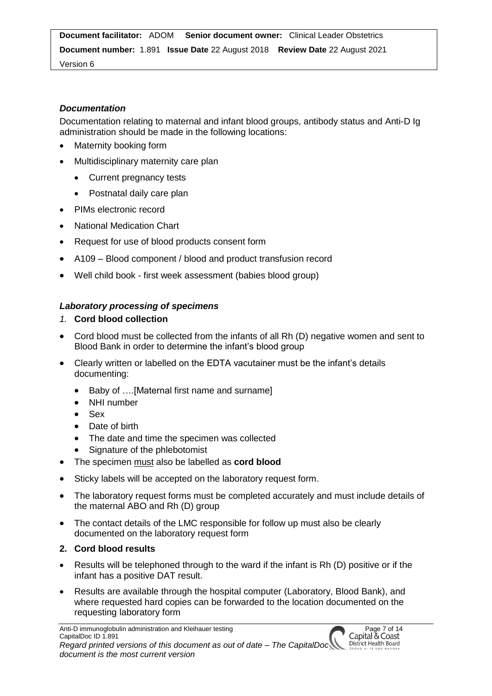Version 6

# *Documentation*

Documentation relating to maternal and infant blood groups, antibody status and Anti-D Ig administration should be made in the following locations:

- Maternity booking form
- Multidisciplinary maternity care plan
	- Current pregnancy tests
	- Postnatal daily care plan
- PIMs electronic record
- National Medication Chart
- Request for use of blood products consent form
- A109 Blood component / blood and product transfusion record
- Well child book first week assessment (babies blood group)

# *Laboratory processing of specimens*

- *1.* **Cord blood collection**
- Cord blood must be collected from the infants of all Rh (D) negative women and sent to Blood Bank in order to determine the infant's blood group
- Clearly written or labelled on the EDTA vacutainer must be the infant's details documenting:
	- Baby of ....[Maternal first name and surname]
	- NHI number
	- Sex
	- Date of birth
	- The date and time the specimen was collected
	- Signature of the phlebotomist
- The specimen must also be labelled as **cord blood**
- Sticky labels will be accepted on the laboratory request form.
- The laboratory request forms must be completed accurately and must include details of the maternal ABO and Rh (D) group
- The contact details of the LMC responsible for follow up must also be clearly documented on the laboratory request form

# **2. Cord blood results**

- Results will be telephoned through to the ward if the infant is Rh (D) positive or if the infant has a positive DAT result.
- Results are available through the hospital computer (Laboratory, Blood Bank), and where requested hard copies can be forwarded to the location documented on the requesting laboratory form

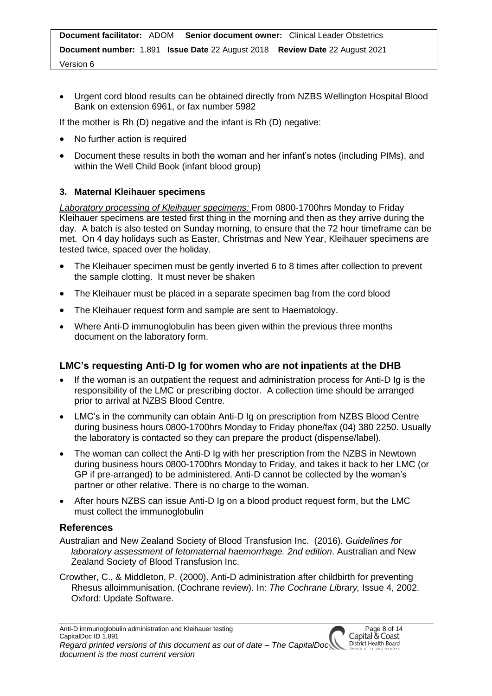Version 6

 Urgent cord blood results can be obtained directly from NZBS Wellington Hospital Blood Bank on extension 6961, or fax number 5982

If the mother is Rh (D) negative and the infant is Rh (D) negative:

- No further action is required
- Document these results in both the woman and her infant's notes (including PIMs), and within the Well Child Book (infant blood group)

### **3. Maternal Kleihauer specimens**

*Laboratory processing of Kleihauer specimens:* From 0800-1700hrs Monday to Friday Kleihauer specimens are tested first thing in the morning and then as they arrive during the day. A batch is also tested on Sunday morning, to ensure that the 72 hour timeframe can be met. On 4 day holidays such as Easter, Christmas and New Year, Kleihauer specimens are tested twice, spaced over the holiday.

- The Kleihauer specimen must be gently inverted 6 to 8 times after collection to prevent the sample clotting. It must never be shaken
- The Kleihauer must be placed in a separate specimen bag from the cord blood
- The Kleihauer request form and sample are sent to Haematology.
- Where Anti-D immunoglobulin has been given within the previous three months document on the laboratory form.

### **LMC's requesting Anti-D Ig for women who are not inpatients at the DHB**

- If the woman is an outpatient the request and administration process for Anti-D Ig is the responsibility of the LMC or prescribing doctor. A collection time should be arranged prior to arrival at NZBS Blood Centre.
- LMC's in the community can obtain Anti-D Ig on prescription from NZBS Blood Centre during business hours 0800-1700hrs Monday to Friday phone/fax (04) 380 2250. Usually the laboratory is contacted so they can prepare the product (dispense/label).
- The woman can collect the Anti-D Ig with her prescription from the NZBS in Newtown during business hours 0800-1700hrs Monday to Friday, and takes it back to her LMC (or GP if pre-arranged) to be administered. Anti-D cannot be collected by the woman's partner or other relative. There is no charge to the woman.
- After hours NZBS can issue Anti-D Ig on a blood product request form, but the LMC must collect the immunoglobulin

### **References**

- Australian and New Zealand Society of Blood Transfusion Inc. (2016). *Guidelines for laboratory assessment of fetomaternal haemorrhage. 2nd edition*. Australian and New Zealand Society of Blood Transfusion Inc.
- Crowther, C., & Middleton, P. (2000). Anti-D administration after childbirth for preventing Rhesus alloimmunisation. (Cochrane review). In: *The Cochrane Library,* Issue 4, 2002. Oxford: Update Software.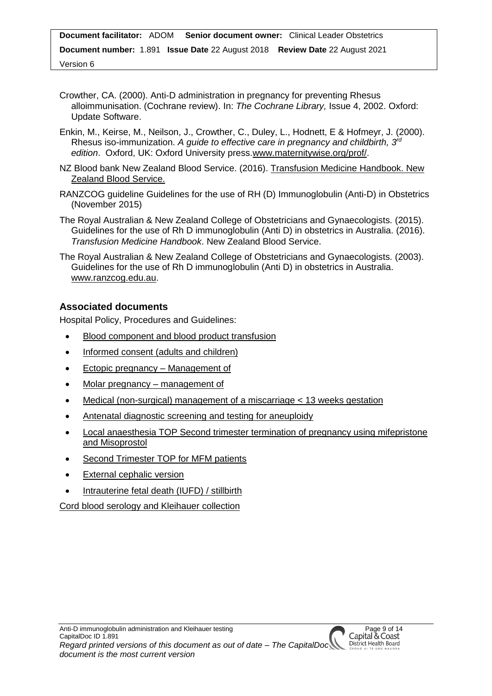- Crowther, CA. (2000). Anti-D administration in pregnancy for preventing Rhesus alloimmunisation. (Cochrane review). In: *The Cochrane Library,* Issue 4, 2002. Oxford: Update Software.
- Enkin, M., Keirse, M., Neilson, J., Crowther, C., Duley, L., Hodnett, E & Hofmeyr, J. (2000). Rhesus iso-immunization. A guide to effective care in pregnancy and childbirth, 3<sup>rd</sup> *edition*. Oxford, UK: Oxford University press[.www.maternitywise.org/prof/.](http://www.maternitywise.org/prof/)
- NZ Blood bank New Zealand Blood Service. (2016). [Transfusion Medicine Handbook.](https://www.nzblood.co.nz/clinical-information/transfusion-medicine/transfusion-medicine-handbook/) New [Zealand Blood Service.](https://www.nzblood.co.nz/clinical-information/transfusion-medicine/transfusion-medicine-handbook/)
- RANZCOG guideline Guidelines for the use of RH (D) Immunoglobulin (Anti-D) in Obstetrics (November 2015)
- The Royal Australian & New Zealand College of Obstetricians and Gynaecologists. (2015). Guidelines for the use of Rh D immunoglobulin (Anti D) in obstetrics in Australia. (2016). *Transfusion Medicine Handbook*. New Zealand Blood Service.
- The Royal Australian & New Zealand College of Obstetricians and Gynaecologists. (2003). Guidelines for the use of Rh D immunoglobulin (Anti D) in obstetrics in Australia. [www.ranzcog.edu.au.](http://www.ranzcog.edu.au/)

# **Associated documents**

Hospital Policy, Procedures and Guidelines:

- [Blood component and blood product transfusion](http://silentone/content/capitalDoc/20_CandCDHB_Organisation_Wide_Forms/000000000350/__file__/000000000350.pdf)
- [Informed consent \(adults and children\)](http://silentone/content/capitalDoc/30_CandCDHB_Organisation_Wide_Policies__Clinical_/Informed_consent_health_information/000000002706/__file__/000000002706.DOC)
- [Ectopic pregnancy –](http://silentone/content/capitalDoc/310_Women_and_Children_s_Health/04_Womens_Clinics/02_Acute_assessment_unit/000000001630/__file__/000000001630.pdf) Management of
- [Molar pregnancy](http://silentone/content/capitalDoc/310_Women_and_Children_s_Health/04_Womens_Clinics/02_Acute_assessment_unit/000000001631/__file__/000000001631.DOC) management of
- [Medical \(non-surgical\) management of a miscarriage < 13 weeks gestation](http://silentone/content/capitalDoc/310_Women_and_Children_s_Health/04_Womens_Clinics/02_Acute_assessment_unit/000000001370/__file__/000000001370.pdf)
- [Antenatal diagnostic screening and testing for aneuploidy](http://silentone/content/capitalDoc/310_Women_and_Children_s_Health/04_Womens_Clinics/06_Ultrasound/000000002179/__file__/000000002179.pdf)
- [Local anaesthesia TOP](http://silentone/content/capitalDoc/310_Women_and_Children_s_Health/04_Womens_Clinics/04_Te_Mahoe/000000001277/__file__/000000001277.pdf) [Second trimester termination of pregnancy using mifepristone](http://silentone/content/capitalDoc/310_Women_and_Children_s_Health/04_Womens_Clinics/04_Te_Mahoe/000000001279/__file__/000000001279.pdf)  [and Misoprostol](http://silentone/content/capitalDoc/310_Women_and_Children_s_Health/04_Womens_Clinics/04_Te_Mahoe/000000001279/__file__/000000001279.pdf)
- [Second Trimester TOP for MFM patients](http://silentone/content/capitalDoc/310_Women_and_Children_s_Health/04_Womens_Clinics/06_Ultrasound/000000100770/__file__/000000100770.pdf)
- [External cephalic version](http://silentone/content/capitalDoc/310_Women_and_Children_s_Health/03_Obstetrics_gynaecology/Antenatal/000000000258/__file__/000000000258.pdf)
- [Intrauterine fetal death \(IUFD\) / stillbirth](http://silentone/content/capitalDoc/310_Women_and_Children_s_Health/03_Obstetrics_gynaecology/Antenatal/000000003025/__file__/000000003025.pdf)

[Cord blood serology and Kleihauer](http://silentone/content/capitalDoc/310_Women_and_Children_s_Health/03_Obstetrics_gynaecology/Intrapartum/000000000627/__file__/000000000627.DOC) collection

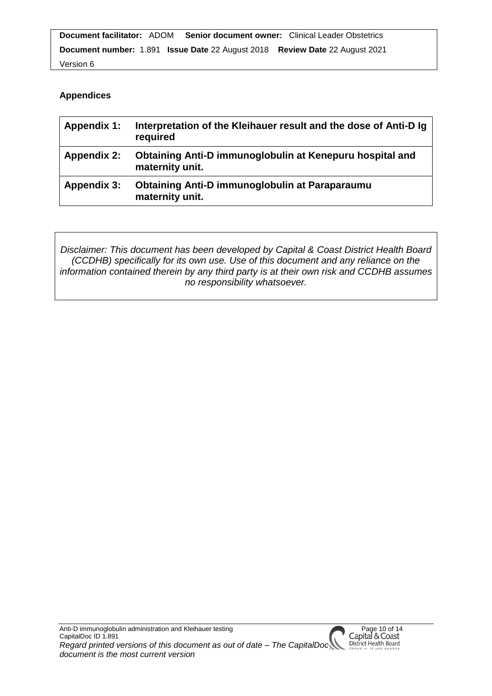```
Document facilitator: ADOM Senior document owner: Clinical Leader Obstetrics 
Document number: 1.891 Issue Date 22 August 2018 Review Date 22 August 2021
Version 6
```
# **Appendices**

| <b>Appendix 1:</b> | Interpretation of the Kleihauer result and the dose of Anti-D Ig<br>required |
|--------------------|------------------------------------------------------------------------------|
| <b>Appendix 2:</b> | Obtaining Anti-D immunoglobulin at Kenepuru hospital and<br>maternity unit.  |
| <b>Appendix 3:</b> | Obtaining Anti-D immunoglobulin at Paraparaumu<br>maternity unit.            |

*Disclaimer: This document has been developed by Capital & Coast District Health Board (CCDHB) specifically for its own use. Use of this document and any reliance on the information contained therein by any third party is at their own risk and CCDHB assumes no responsibility whatsoever.*

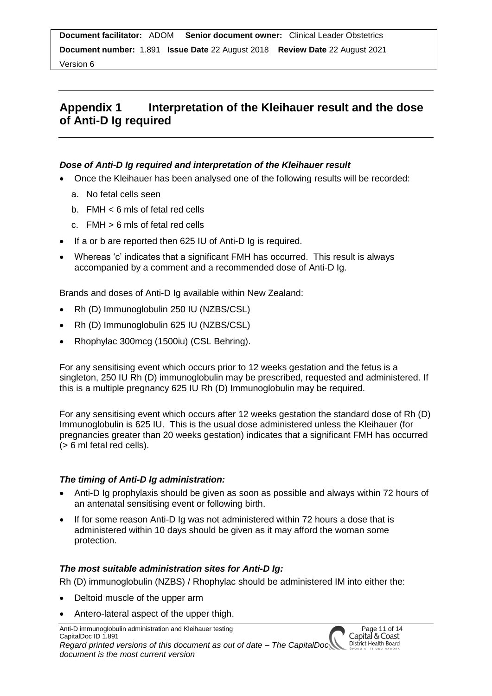Version 6

# **Appendix 1 Interpretation of the Kleihauer result and the dose of Anti-D Ig required**

### *Dose of Anti-D Ig required and interpretation of the Kleihauer result*

- Once the Kleihauer has been analysed one of the following results will be recorded:
	- a. No fetal cells seen
	- b. FMH < 6 mls of fetal red cells
	- c. FMH > 6 mls of fetal red cells
- If a or b are reported then 625 IU of Anti-D Ig is required.
- Whereas 'c' indicates that a significant FMH has occurred. This result is always accompanied by a comment and a recommended dose of Anti-D Ig.

Brands and doses of Anti-D Ig available within New Zealand:

- Rh (D) Immunoglobulin 250 IU (NZBS/CSL)
- Rh (D) Immunoglobulin 625 IU (NZBS/CSL)
- Rhophylac 300mcg (1500iu) (CSL Behring).

For any sensitising event which occurs prior to 12 weeks gestation and the fetus is a singleton, 250 IU Rh (D) immunoglobulin may be prescribed, requested and administered. If this is a multiple pregnancy 625 IU Rh (D) Immunoglobulin may be required.

For any sensitising event which occurs after 12 weeks gestation the standard dose of Rh (D) Immunoglobulin is 625 IU. This is the usual dose administered unless the Kleihauer (for pregnancies greater than 20 weeks gestation) indicates that a significant FMH has occurred (> 6 ml fetal red cells).

### *The timing of Anti-D Ig administration:*

- Anti-D Ig prophylaxis should be given as soon as possible and always within 72 hours of an antenatal sensitising event or following birth.
- If for some reason Anti-D Ig was not administered within 72 hours a dose that is administered within 10 days should be given as it may afford the woman some protection.

#### *The most suitable administration sites for Anti-D Ig:*

Rh (D) immunoglobulin (NZBS) / Rhophylac should be administered IM into either the:

- Deltoid muscle of the upper arm
- Antero-lateral aspect of the upper thigh.

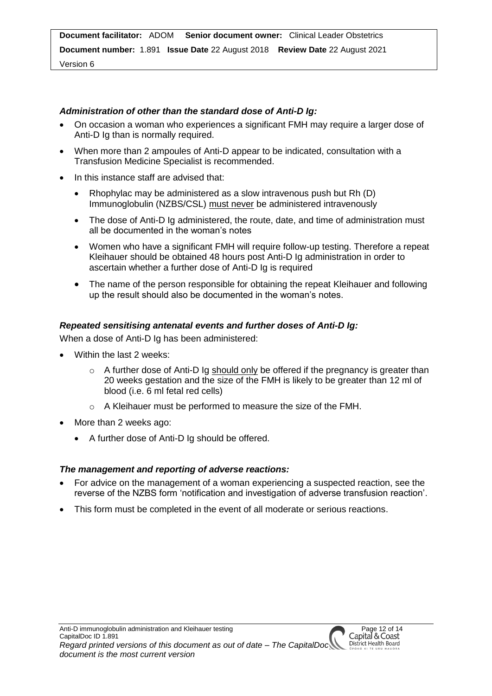#### Version 6

### *Administration of other than the standard dose of Anti-D Ig:*

- On occasion a woman who experiences a significant FMH may require a larger dose of Anti-D Ig than is normally required.
- When more than 2 ampoules of Anti-D appear to be indicated, consultation with a Transfusion Medicine Specialist is recommended.
- In this instance staff are advised that:
	- Rhophylac may be administered as a slow intravenous push but Rh (D) Immunoglobulin (NZBS/CSL) must never be administered intravenously
	- The dose of Anti-D Ig administered, the route, date, and time of administration must all be documented in the woman's notes
	- Women who have a significant FMH will require follow-up testing. Therefore a repeat Kleihauer should be obtained 48 hours post Anti-D Ig administration in order to ascertain whether a further dose of Anti-D Ig is required
	- The name of the person responsible for obtaining the repeat Kleihauer and following up the result should also be documented in the woman's notes.

### *Repeated sensitising antenatal events and further doses of Anti-D Ig:*

When a dose of Anti-D Ig has been administered:

- Within the last 2 weeks:
	- o A further dose of Anti-D Ig should only be offered if the pregnancy is greater than 20 weeks gestation and the size of the FMH is likely to be greater than 12 ml of blood (i.e. 6 ml fetal red cells)
	- o A Kleihauer must be performed to measure the size of the FMH.
- More than 2 weeks ago:
	- A further dose of Anti-D Ig should be offered.

#### *The management and reporting of adverse reactions:*

- For advice on the management of a woman experiencing a suspected reaction, see the reverse of the NZBS form 'notification and investigation of adverse transfusion reaction'.
- This form must be completed in the event of all moderate or serious reactions.

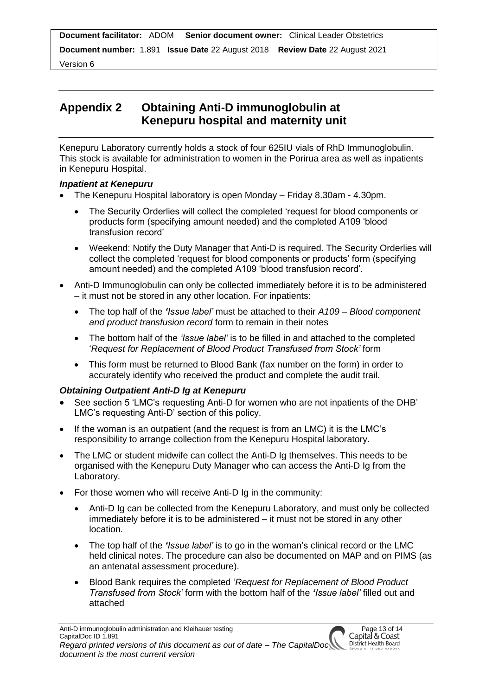Version 6

# **Appendix 2 Obtaining Anti-D immunoglobulin at Kenepuru hospital and maternity unit**

Kenepuru Laboratory currently holds a stock of four 625IU vials of RhD Immunoglobulin. This stock is available for administration to women in the Porirua area as well as inpatients in Kenepuru Hospital.

# *Inpatient at Kenepuru*

- The Kenepuru Hospital laboratory is open Monday Friday 8.30am 4.30pm.
	- The Security Orderlies will collect the completed 'request for blood components or products form (specifying amount needed) and the completed A109 'blood transfusion record'
	- Weekend: Notify the Duty Manager that Anti-D is required. The Security Orderlies will collect the completed 'request for blood components or products' form (specifying amount needed) and the completed A109 'blood transfusion record'.
- Anti-D Immunoglobulin can only be collected immediately before it is to be administered – it must not be stored in any other location. For inpatients:
	- The top half of the *'Issue label'* must be attached to their *A109 – Blood component and product transfusion record* form to remain in their notes
	- The bottom half of the *'Issue label'* is to be filled in and attached to the completed '*Request for Replacement of Blood Product Transfused from Stock'* form
	- This form must be returned to Blood Bank (fax number on the form) in order to accurately identify who received the product and complete the audit trail.

# *Obtaining Outpatient Anti-D Ig at Kenepuru*

- See section 5 'LMC's requesting Anti-D for women who are not inpatients of the DHB' LMC's requesting Anti-D' section of this policy.
- If the woman is an outpatient (and the request is from an LMC) it is the LMC's responsibility to arrange collection from the Kenepuru Hospital laboratory.
- The LMC or student midwife can collect the Anti-D Ig themselves. This needs to be organised with the Kenepuru Duty Manager who can access the Anti-D Ig from the Laboratory.
- For those women who will receive Anti-D Ig in the community:
	- Anti-D Ig can be collected from the Kenepuru Laboratory, and must only be collected immediately before it is to be administered – it must not be stored in any other location.
	- The top half of the *'Issue label'* is to go in the woman's clinical record or the LMC held clinical notes. The procedure can also be documented on MAP and on PIMS (as an antenatal assessment procedure).
	- Blood Bank requires the completed '*Request for Replacement of Blood Product Transfused from Stock'* form with the bottom half of the *'Issue label'* filled out and attached